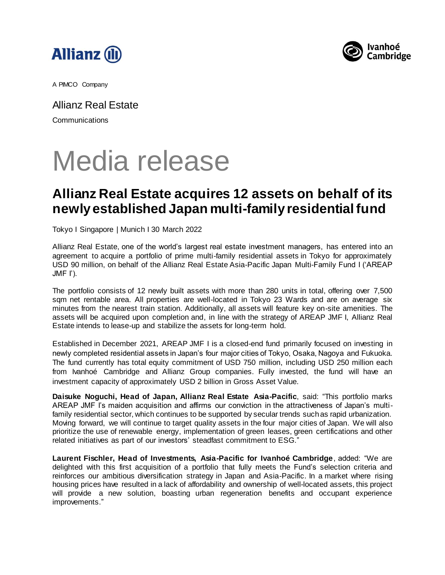



A PIMCO Company

Allianz Real Estate **Communications** 

### Media release

### **Allianz Real Estate acquires 12 assets on behalf of its newly established Japan multi-family residential fund**

Tokyo I Singapore | Munich I 30 March 2022

Allianz Real Estate, one of the world's largest real estate investment managers, has entered into an agreement to acquire a portfolio of prime multi-family residential assets in Tokyo for approximately USD 90 million, on behalf of the Allianz Real Estate Asia-Pacific Japan Multi-Family Fund I ('AREAP  $JMF I$ ').

The portfolio consists of 12 newly built assets with more than 280 units in total, offering over 7,500 sqm net rentable area. All properties are well-located in Tokyo 23 Wards and are on average six minutes from the nearest train station. Additionally, all assets will feature key on-site amenities. The assets will be acquired upon completion and, in line with the strategy of AREAP JMF I, Allianz Real Estate intends to lease-up and stabilize the assets for long-term hold.

Established in December 2021, AREAP JMF I is a closed-end fund primarily focused on investing in newly completed residential assets in Japan's four major cities of Tokyo, Osaka, Nagoya and Fukuoka. The fund currently has total equity commitment of USD 750 million, including USD 250 million each from Ivanhoé Cambridge and Allianz Group companies. Fully invested, the fund will have an investment capacity of approximately USD 2 billion in Gross Asset Value.

**Daisuke Noguchi, Head of Japan, Allianz Real Estate Asia-Pacific**, said: "This portfolio marks AREAP JMF I's maiden acquisition and affirms our conviction in the attractiveness of Japan's multifamily residential sector, which continues to be supported by secular trends such as rapid urbanization. Moving forward, we will continue to target quality assets in the four major cities of Japan. We will also prioritize the use of renewable energy, implementation of green leases, green certifications and other related initiatives as part of our investors' steadfast commitment to ESG."

**Laurent Fischler, Head of Investments, Asia-Pacific for Ivanhoé Cambridge**, added: "We are delighted with this first acquisition of a portfolio that fully meets the Fund's selection criteria and reinforces our ambitious diversification strategy in Japan and Asia-Pacific. In a market where rising housing prices have resulted in a lack of affordability and ownership of well-located assets, this project will provide a new solution, boasting urban regeneration benefits and occupant experience improvements."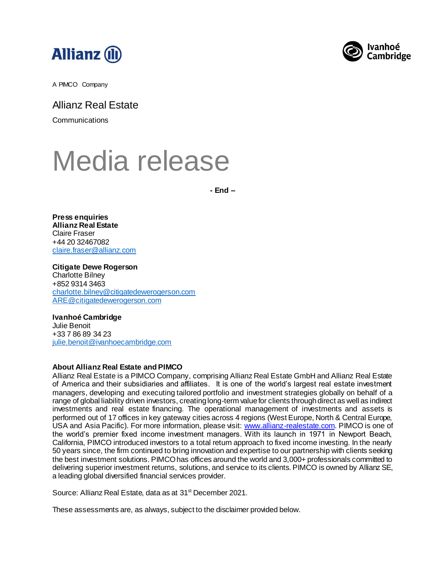



A PIMCO Company

Allianz Real Estate

**Communications** 

# Media release

**- End –**

**Press enquiries Allianz Real Estate** Claire Fraser +44 20 32467082 [claire.fraser@allianz.com](mailto:phillip.lee@allianz.com)

**Citigate Dewe Rogerson**  Charlotte Bilney +852 9314 3463 [charlotte.bilney@citigatedewerogerson.com](mailto:charlotte.bilney@citigatedewerogerson.com) [ARE@citigatedewerogerson.com](mailto:ARE@citigatedewerogerson.com)

#### **Ivanhoé Cambridge** Julie Benoit +33 7 86 89 34 23

[julie.benoit@ivanhoecambridge.com](mailto:julie.benoit@ivanhoecambridge.com)

#### **About Allianz Real Estate and PIMCO**

Allianz Real Estate is a PIMCO Company, comprising Allianz Real Estate GmbH and Allianz Real Estate of America and their subsidiaries and affiliates. It is one of the world's largest real estate investment managers, developing and executing tailored portfolio and investment strategies globally on behalf of a range of global liability driven investors, creating long-term value for clients through direct as well as indirect investments and real estate financing. The operational management of investments and assets is performed out of 17 offices in key gateway cities across 4 regions (West Europe, North & Central Europe, USA and Asia Pacific). For more information, please visit: [www.allianz-realestate.com](http://www.allianz-realestate.com/). PIMCO is one of the world's premier fixed income investment managers. With its launch in 1971 in Newport Beach, California, PIMCO introduced investors to a total return approach to fixed income investing. In the nearly 50 years since, the firm continued to bring innovation and expertise to our partnership with clients seeking the best investment solutions. PIMCO has offices around the world and 3,000+ professionals committed to delivering superior investment returns, solutions, and service to its clients. PIMCO is owned by Allianz SE, a leading global diversified financial services provider.

Source: Allianz Real Estate, data as at 31st December 2021.

These assessments are, as always, subject to the disclaimer provided below.